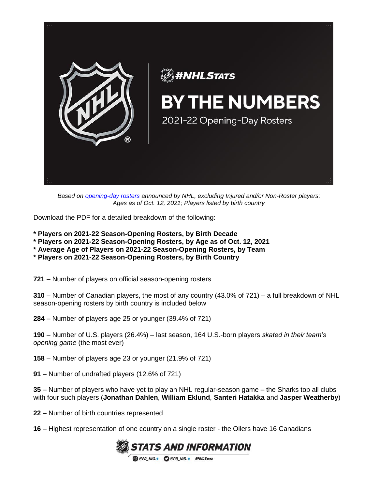

*Based on [opening-day rosters](https://media.nhl.com/public/news/15279) announced by NHL, excluding Injured and/or Non-Roster players; Ages as of Oct. 12, 2021; Players listed by birth country*

Download the PDF for a detailed breakdown of the following:

- **\* Players on 2021-22 Season-Opening Rosters, by Birth Decade**
- **\* Players on 2021-22 Season-Opening Rosters, by Age as of Oct. 12, 2021**
- **\* Average Age of Players on 2021-22 Season-Opening Rosters, by Team**
- **\* Players on 2021-22 Season-Opening Rosters, by Birth Country**

**721** – Number of players on official season-opening rosters

**310** – Number of Canadian players, the most of any country (43.0% of 721) – a full breakdown of NHL season-opening rosters by birth country is included below

**284** – Number of players age 25 or younger (39.4% of 721)

**190** – Number of U.S. players (26.4%) – last season, 164 U.S.-born players *skated in their team's opening game* (the most ever)

**158** – Number of players age 23 or younger (21.9% of 721)

**91** – Number of undrafted players (12.6% of 721)

**35** – Number of players who have yet to play an NHL regular-season game – the Sharks top all clubs with four such players (**Jonathan Dahlen**, **William Eklund**, **Santeri Hatakka** and **Jasper Weatherby**)

**22** – Number of birth countries represented

**16** – Highest representation of one country on a single roster - the Oilers have 16 Canadians

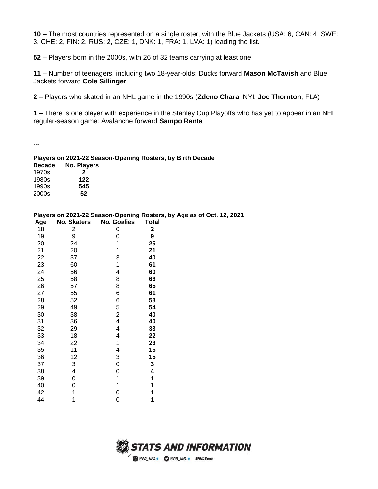– The most countries represented on a single roster, with the Blue Jackets (USA: 6, CAN: 4, SWE: 3, CHE: 2, FIN: 2, RUS: 2, CZE: 1, DNK: 1, FRA: 1, LVA: 1) leading the list.

– Players born in the 2000s, with 26 of 32 teams carrying at least one

 – Number of teenagers, including two 18-year-olds: Ducks forward **Mason McTavish** and Blue Jackets forward **Cole Sillinger**

– Players who skated in an NHL game in the 1990s (**Zdeno Chara**, NYI; **Joe Thornton**, FLA)

– There is one player with experience in the Stanley Cup Playoffs who has yet to appear in an NHL regular-season game: Avalanche forward **Sampo Ranta**

---

## **Players on 2021-22 Season-Opening Rosters, by Birth Decade**

| <b>Decade</b> | No. Players |
|---------------|-------------|
| 1970s         | 2           |
| 1980s         | 122         |
| 1990s         | 545         |
| 2000s         | 52          |

## **Players on 2021-22 Season-Opening Rosters, by Age as of Oct. 12, 2021**

| Age | <b>No. Skaters</b> | <b>No. Goalies</b> | <b>Total</b> |
|-----|--------------------|--------------------|--------------|
| 18  | $\overline{c}$     | 0                  | 2            |
| 19  | 9                  | 0                  | 9            |
| 20  | 24                 | 1                  | 25           |
| 21  | 20                 | 1                  | 21           |
| 22  | 37                 | 3                  | 40           |
| 23  | 60                 | 1                  | 61           |
| 24  | 56                 | 4                  | 60           |
| 25  | 58                 | 8                  | 66           |
| 26  | 57                 | 8                  | 65           |
| 27  | 55                 | 6                  | 61           |
| 28  | 52                 | 6                  | 58           |
| 29  | 49                 | 5                  | 54           |
| 30  | 38                 | $\overline{c}$     | 40           |
| 31  | 36                 | 4                  | 40           |
| 32  | 29                 | 4                  | 33           |
| 33  | 18                 | 4                  | 22           |
| 34  | 22                 | 1                  | 23           |
| 35  | 11                 | 4                  | 15           |
| 36  | 12                 | 3                  | 15           |
| 37  | 3                  | 0                  | 3            |
| 38  | 4                  | 0                  | 4            |
| 39  | 0                  | 1                  | 1            |
| 40  | 0                  | 1                  | 1            |
| 42  | 1                  | 0                  | 1            |
| 44  | 1                  | 0                  | 1            |

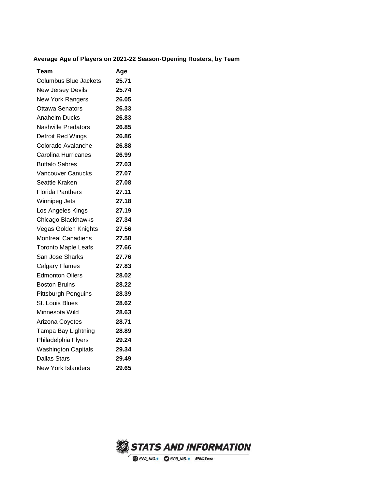## **Average Age of Players on 2021-22 Season-Opening Rosters, by Team**

| Team                       | Age   |
|----------------------------|-------|
| Columbus Blue Jackets      | 25.71 |
| New Jersey Devils          | 25.74 |
| <b>New York Rangers</b>    | 26.05 |
| <b>Ottawa Senators</b>     | 26.33 |
| <b>Anaheim Ducks</b>       | 26.83 |
| <b>Nashville Predators</b> | 26.85 |
| Detroit Red Wings          | 26.86 |
| Colorado Avalanche         | 26.88 |
| Carolina Hurricanes        | 26.99 |
| <b>Buffalo Sabres</b>      | 27.03 |
| Vancouver Canucks          | 27.07 |
| Seattle Kraken             | 27.08 |
| Florida Panthers           | 27.11 |
| Winnipeg Jets              | 27.18 |
| Los Angeles Kings          | 27.19 |
| Chicago Blackhawks         | 27.34 |
| Vegas Golden Knights       | 27.56 |
| <b>Montreal Canadiens</b>  | 27.58 |
| <b>Toronto Maple Leafs</b> | 27.66 |
| San Jose Sharks            | 27.76 |
| Calgary Flames             | 27.83 |
| <b>Edmonton Oilers</b>     | 28.02 |
| <b>Boston Bruins</b>       | 28.22 |
| <b>Pittsburgh Penguins</b> | 28.39 |
| <b>St. Louis Blues</b>     | 28.62 |
| Minnesota Wild             | 28.63 |
| Arizona Coyotes            | 28.71 |
| Tampa Bay Lightning        | 28.89 |
| Philadelphia Flyers        | 29.24 |
| <b>Washington Capitals</b> | 29.34 |
| <b>Dallas Stars</b>        | 29.49 |
| New York Islanders         | 29.65 |